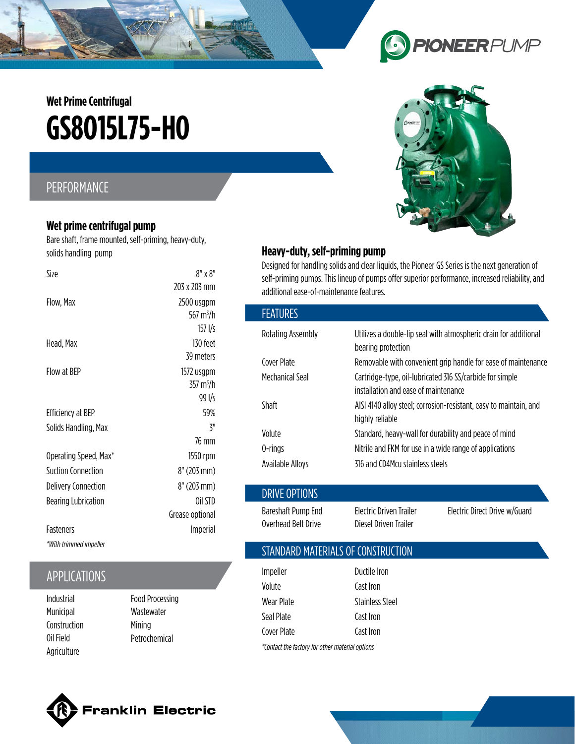# **GS8O15L75-HO Wet Prime Centrifugal**

## PERFORMANCE

#### **Wet prime centrifugal pump**

Bare shaft, frame mounted, self-priming, heavy-duty, solids handling pump

| Size                       | $8''$ x $8''$         |
|----------------------------|-----------------------|
|                            | 203 x 203 mm          |
| Flow, Max                  | 2500 usgpm            |
|                            | 567 m <sup>3</sup> /h |
|                            | $157$ I/s             |
| Head, Max                  | 130 feet              |
|                            | 39 meters             |
| Flow at BFP                | 1572 usgpm            |
|                            | 357 m <sup>3</sup> /h |
|                            | 99 l/s                |
| <b>Efficiency at BEP</b>   | 59%                   |
| Solids Handling, Max       | 3"                    |
|                            | 76 mm                 |
| Operating Speed, Max*      | 1550 rpm              |
| Suction Connection         | 8" (203 mm)           |
| <b>Delivery Connection</b> | 8" (203 mm)           |
| Bearing Lubrication        | Oil STD               |
|                            | Grease optional       |
| Fasteners                  | Imperial              |
| *With trimmed impeller     |                       |

## APPLICATIONS

Industrial Municipal Construction Oil Field Agriculture

Food Processing **Wastewater** Mining Petrochemical



Designed for handling solids and clear liquids, the Pioneer GS Series is the next generation of self-priming pumps. This lineup of pumps offer superior performance, increased reliability, and additional ease-of-maintenance features.

| <b>FEATURES</b>                           |                                                                                                  |                               |
|-------------------------------------------|--------------------------------------------------------------------------------------------------|-------------------------------|
| Rotating Assembly                         | Utilizes a double-lip seal with atmospheric drain for additional<br>bearing protection           |                               |
| Cover Plate                               | Removable with convenient grip handle for ease of maintenance                                    |                               |
| Mechanical Seal                           | Cartridge-type, oil-lubricated 316 SS/carbide for simple<br>installation and ease of maintenance |                               |
| Shaft                                     | AISI 4140 alloy steel; corrosion-resistant, easy to maintain, and<br>highly reliable             |                               |
| Volute                                    | Standard, heavy-wall for durability and peace of mind                                            |                               |
| 0-rings                                   | Nitrile and FKM for use in a wide range of applications                                          |                               |
| <b>Available Alloys</b>                   | 316 and CD4Mcu stainless steels                                                                  |                               |
| DRIVE OPTIONS                             |                                                                                                  |                               |
| Bareshaft Pump End<br>Overhead Belt Drive | Electric Driven Trailer<br>Diesel Driven Trailer                                                 | Electric Direct Drive w/Guard |

#### STANDARD MATERIALS OF CONSTRUCTION

| Impeller                                         | Ductile Iron           |  |
|--------------------------------------------------|------------------------|--|
| Volute                                           | Cast Iron              |  |
| Wear Plate                                       | <b>Stainless Steel</b> |  |
| Seal Plate                                       | Cast Iron              |  |
| Cover Plate                                      | Cast Iron              |  |
| *Contact the factory for other material options* |                        |  |